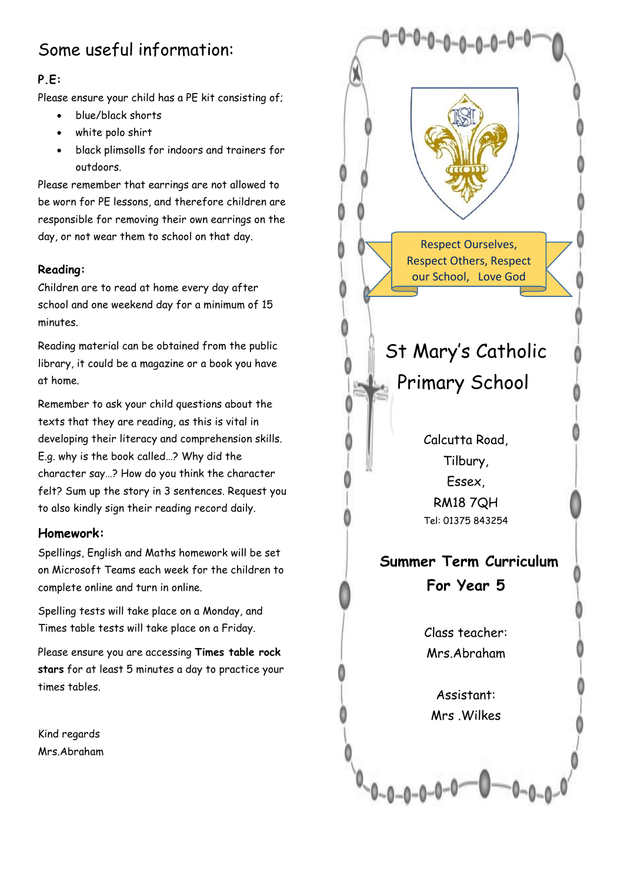# Some useful information:

# **P.E:**

Please ensure your child has a PE kit consisting of;

- blue/black shorts
- white polo shirt
- black plimsolls for indoors and trainers for outdoors.

Please remember that earrings are not allowed to be worn for PE lessons, and therefore children are responsible for removing their own earrings on the day, or not wear them to school on that day.

# **Reading:**

Children are to read at home every day after school and one weekend day for a minimum of 15 minutes.

Reading material can be obtained from the public library, it could be a magazine or a book you have at home.

Remember to ask your child questions about the texts that they are reading, as this is vital in developing their literacy and comprehension skills. E.g. why is the book called…? Why did the character say…? How do you think the character felt? Sum up the story in 3 sentences. Request you to also kindly sign their reading record daily.

## **Homework:**

Spellings, English and Maths homework will be set on Microsoft Teams each week for the children to complete online and turn in online.

Spelling tests will take place on a Monday, and Times table tests will take place on a Friday.

Please ensure you are accessing **Times table rock stars** for at least 5 minutes a day to practice your times tables.

Kind regards Mrs.Abraham